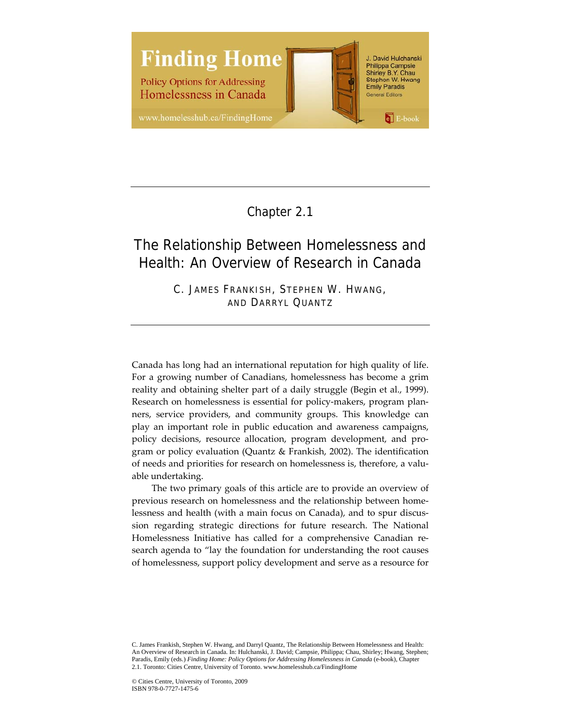

Chapter 2.1

# The Relationship Between Homelessness and Health: An Overview of Research in Canada

C. JAMES FRANKISH, STEPHEN W. HWANG, AND DARRYL QUANTZ

Canada has long had an international reputation for high quality of life. For a growing number of Canadians, homelessness has become a grim reality and obtaining shelter part of a daily struggle (Begin et al., 1999). Research on homelessness is essential for policy-makers, program planners, service providers, and community groups. This knowledge can play an important role in public education and awareness campaigns, policy decisions, resource allocation, program development, and pro‐ gram or policy evaluation (Quantz & Frankish, 2002). The identification of needs and priorities for research on homelessness is, therefore, a valu‐ able undertaking.

The two primary goals of this article are to provide an overview of previous research on homelessness and the relationship between homelessness and health (with a main focus on Canada), and to spur discussion regarding strategic directions for future research. The National Homelessness Initiative has called for a comprehensive Canadian re‐ search agenda to "lay the foundation for understanding the root causes of homelessness, support policy development and serve as a resource for

C. James Frankish, Stephen W. Hwang, and Darryl Quantz, The Relationship Between Homelessness and Health: An Overview of Research in Canada. In: Hulchanski, J. David; Campsie, Philippa; Chau, Shirley; Hwang, Stephen; Paradis, Emily (eds.) *Finding Home: Policy Options for Addressing Homelessness in Canada* (e-book), Chapter 2.1. Toronto: Cities Centre, University of Toronto. www.homelesshub.ca/FindingHome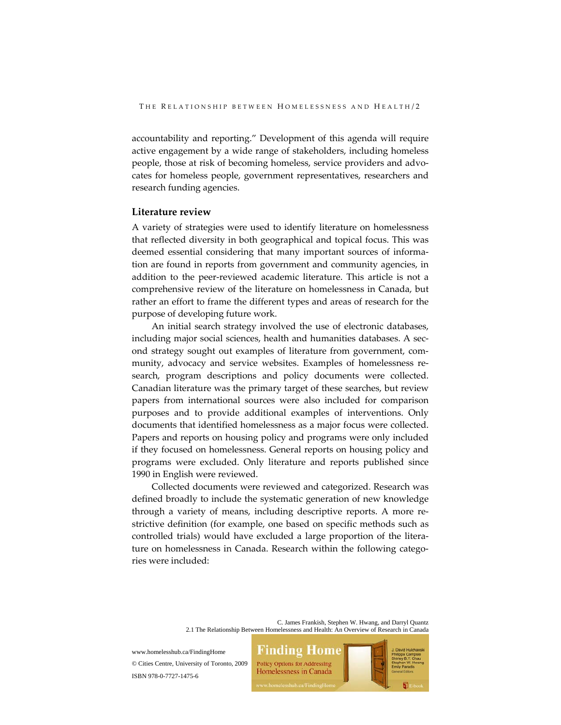accountability and reporting." Development of this agenda will require active engagement by a wide range of stakeholders, including homeless people, those at risk of becoming homeless, service providers and advo‐ cates for homeless people, government representatives, researchers and research funding agencies.

#### **Literature review**

A variety of strategies were used to identify literature on homelessness that reflected diversity in both geographical and topical focus. This was deemed essential considering that many important sources of information are found in reports from government and community agencies, in addition to the peer‐reviewed academic literature. This article is not a comprehensive review of the literature on homelessness in Canada, but rather an effort to frame the different types and areas of research for the purpose of developing future work.

An initial search strategy involved the use of electronic databases, including major social sciences, health and humanities databases. A second strategy sought out examples of literature from government, com‐ munity, advocacy and service websites. Examples of homelessness re‐ search, program descriptions and policy documents were collected. Canadian literature was the primary target of these searches, but review papers from international sources were also included for comparison purposes and to provide additional examples of interventions. Only documents that identified homelessness as a major focus were collected. Papers and reports on housing policy and programs were only included if they focused on homelessness. General reports on housing policy and programs were excluded. Only literature and reports published since 1990 in English were reviewed.

Collected documents were reviewed and categorized. Research was defined broadly to include the systematic generation of new knowledge through a variety of means, including descriptive reports. A more re‐ strictive definition (for example, one based on specific methods such as controlled trials) would have excluded a large proportion of the litera‐ ture on homelessness in Canada. Research within the following categories were included:

> C. James Frankish, Stephen W. Hwang, and Darryl Quantz 2.1 The Relationship Between Homelessness and Health: An Overview of Research in Canada

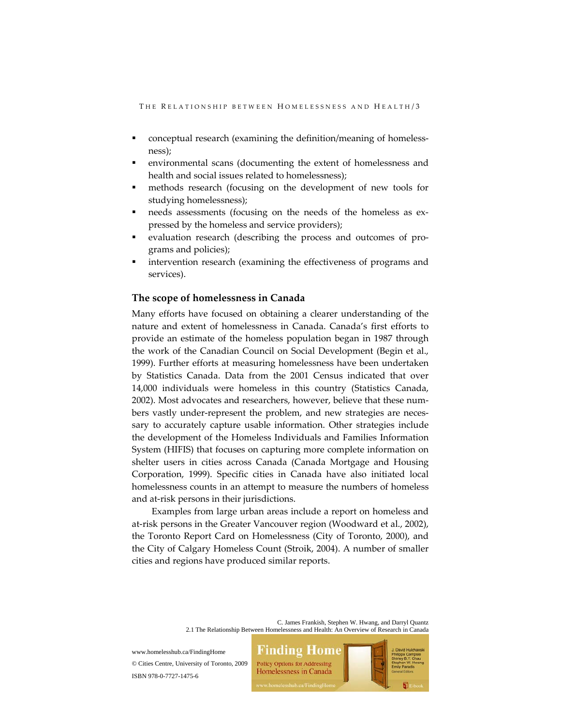- conceptual research (examining the definition/meaning of homeless‐ ness);
- environmental scans (documenting the extent of homelessness and health and social issues related to homelessness);
- methods research (focusing on the development of new tools for studying homelessness);
- needs assessments (focusing on the needs of the homeless as expressed by the homeless and service providers);
- evaluation research (describing the process and outcomes of pro‐ grams and policies);
- intervention research (examining the effectiveness of programs and services).

# **The scope of homelessness in Canada**

Many efforts have focused on obtaining a clearer understanding of the nature and extent of homelessness in Canada. Canada's first efforts to provide an estimate of the homeless population began in 1987 through the work of the Canadian Council on Social Development (Begin et al., 1999). Further efforts at measuring homelessness have been undertaken by Statistics Canada. Data from the 2001 Census indicated that over 14,000 individuals were homeless in this country (Statistics Canada, 2002). Most advocates and researchers, however, believe that these num‐ bers vastly under-represent the problem, and new strategies are necessary to accurately capture usable information. Other strategies include the development of the Homeless Individuals and Families Information System (HIFIS) that focuses on capturing more complete information on shelter users in cities across Canada (Canada Mortgage and Housing Corporation, 1999). Specific cities in Canada have also initiated local homelessness counts in an attempt to measure the numbers of homeless and at‐risk persons in their jurisdictions.

Examples from large urban areas include a report on homeless and at‐risk persons in the Greater Vancouver region (Woodward et al., 2002), the Toronto Report Card on Homelessness (City of Toronto, 2000), and the City of Calgary Homeless Count (Stroik, 2004). A number of smaller cities and regions have produced similar reports.

> C. James Frankish, Stephen W. Hwang, and Darryl Quantz 2.1 The Relationship Between Homelessness and Health: An Overview of Research in Canada

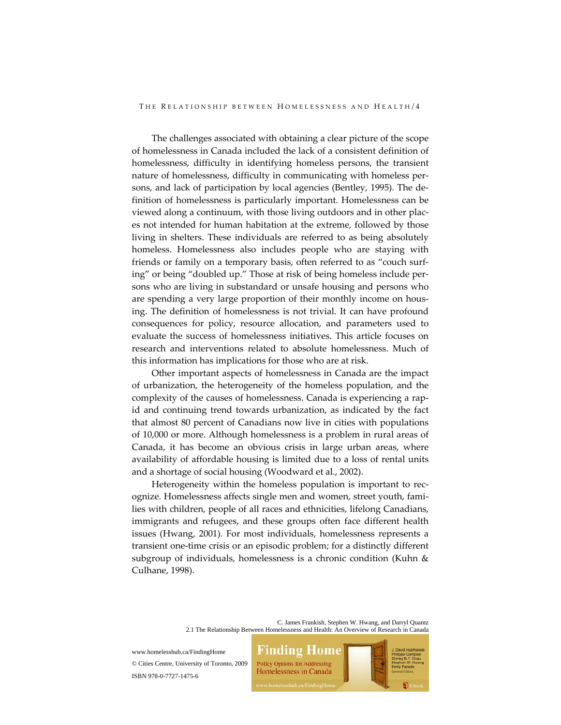The challenges associated with obtaining a clear picture of the scope of homelessness in Canada included the lack of a consistent definition of homelessness, difficulty in identifying homeless persons, the transient nature of homelessness, difficulty in communicating with homeless per‐ sons, and lack of participation by local agencies (Bentley, 1995). The de‐ finition of homelessness is particularly important. Homelessness can be viewed along a continuum, with those living outdoors and in other plac‐ es not intended for human habitation at the extreme, followed by those living in shelters. These individuals are referred to as being absolutely homeless. Homelessness also includes people who are staying with friends or family on a temporary basis, often referred to as "couch surf‐ ing" or being "doubled up." Those at risk of being homeless include per‐ sons who are living in substandard or unsafe housing and persons who are spending a very large proportion of their monthly income on housing. The definition of homelessness is not trivial. It can have profound consequences for policy, resource allocation, and parameters used to evaluate the success of homelessness initiatives. This article focuses on research and interventions related to absolute homelessness. Much of this information has implications for those who are at risk.

Other important aspects of homelessness in Canada are the impact of urbanization, the heterogeneity of the homeless population, and the complexity of the causes of homelessness. Canada is experiencing a rap‐ id and continuing trend towards urbanization, as indicated by the fact that almost 80 percent of Canadians now live in cities with populations of 10,000 or more. Although homelessness is a problem in rural areas of Canada, it has become an obvious crisis in large urban areas, where availability of affordable housing is limited due to a loss of rental units and a shortage of social housing (Woodward et al., 2002).

Heterogeneity within the homeless population is important to rec‐ ognize. Homelessness affects single men and women, street youth, fami‐ lies with children, people of all races and ethnicities, lifelong Canadians, immigrants and refugees, and these groups often face different health issues (Hwang, 2001). For most individuals, homelessness represents a transient one‐time crisis or an episodic problem; for a distinctly different subgroup of individuals, homelessness is a chronic condition (Kuhn & Culhane, 1998).

> C. James Frankish, Stephen W. Hwang, and Darryl Quantz 2.1 The Relationship Between Homelessness and Health: An Overview of Research in Canada

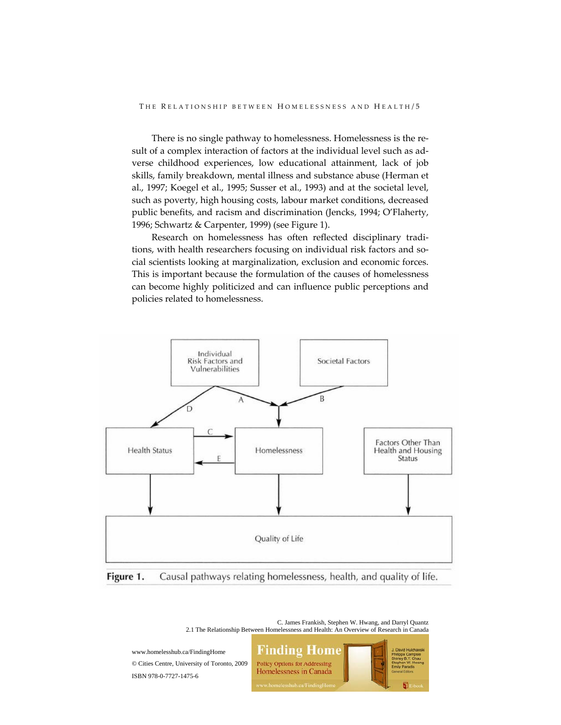THE RELATIONSHIP BETWEEN HOMELESSNESS AND HEALTH/5

There is no single pathway to homelessness. Homelessness is the re‐ sult of a complex interaction of factors at the individual level such as adverse childhood experiences, low educational attainment, lack of job skills, family breakdown, mental illness and substance abuse (Herman et al., 1997; Koegel et al., 1995; Susser et al., 1993) and at the societal level, such as poverty, high housing costs, labour market conditions, decreased public benefits, and racism and discrimination (Jencks, 1994; O'Flaherty, 1996; Schwartz & Carpenter, 1999) (see Figure 1).

Research on homelessness has often reflected disciplinary tradi‐ tions, with health researchers focusing on individual risk factors and social scientists looking at marginalization, exclusion and economic forces. This is important because the formulation of the causes of homelessness can become highly politicized and can influence public perceptions and policies related to homelessness.



Figure 1. Causal pathways relating homelessness, health, and quality of life.

C. James Frankish, Stephen W. Hwang, and Darryl Quantz 2.1 The Relationship Between Homelessness and Health: An Overview of Research in Canada

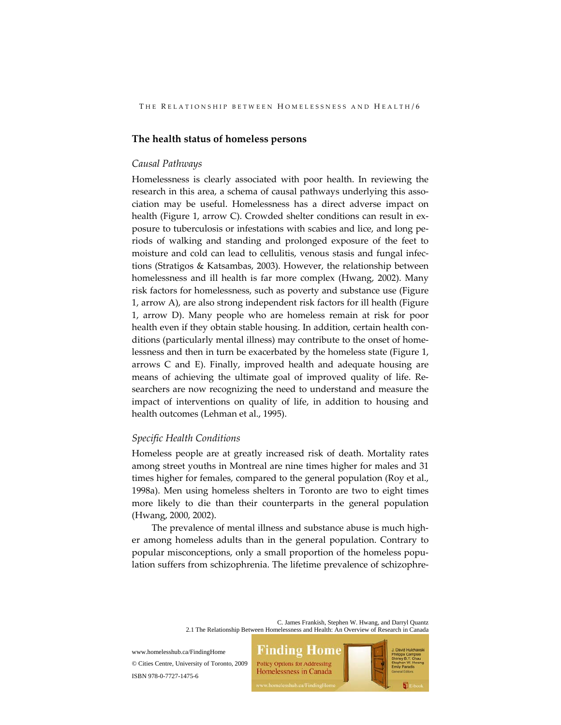# **The health status of homeless persons**

#### *Causal Pathways*

Homelessness is clearly associated with poor health. In reviewing the research in this area, a schema of causal pathways underlying this association may be useful. Homelessness has a direct adverse impact on health (Figure 1, arrow C). Crowded shelter conditions can result in ex‐ posure to tuberculosis or infestations with scabies and lice, and long pe‐ riods of walking and standing and prolonged exposure of the feet to moisture and cold can lead to cellulitis, venous stasis and fungal infec‐ tions (Stratigos & Katsambas, 2003). However, the relationship between homelessness and ill health is far more complex (Hwang, 2002). Many risk factors for homelessness, such as poverty and substance use (Figure 1, arrow A), are also strong independent risk factors for ill health (Figure 1, arrow D). Many people who are homeless remain at risk for poor health even if they obtain stable housing. In addition, certain health conditions (particularly mental illness) may contribute to the onset of home‐ lessness and then in turn be exacerbated by the homeless state (Figure 1, arrows C and E). Finally, improved health and adequate housing are means of achieving the ultimate goal of improved quality of life. Researchers are now recognizing the need to understand and measure the impact of interventions on quality of life, in addition to housing and health outcomes (Lehman et al., 1995).

## *Specific Health Conditions*

Homeless people are at greatly increased risk of death. Mortality rates among street youths in Montreal are nine times higher for males and 31 times higher for females, compared to the general population (Roy et al., 1998a). Men using homeless shelters in Toronto are two to eight times more likely to die than their counterparts in the general population (Hwang, 2000, 2002).

The prevalence of mental illness and substance abuse is much higher among homeless adults than in the general population. Contrary to popular misconceptions, only a small proportion of the homeless population suffers from schizophrenia. The lifetime prevalence of schizophre‐

> C. James Frankish, Stephen W. Hwang, and Darryl Quantz 2.1 The Relationship Between Homelessness and Health: An Overview of Research in Canada

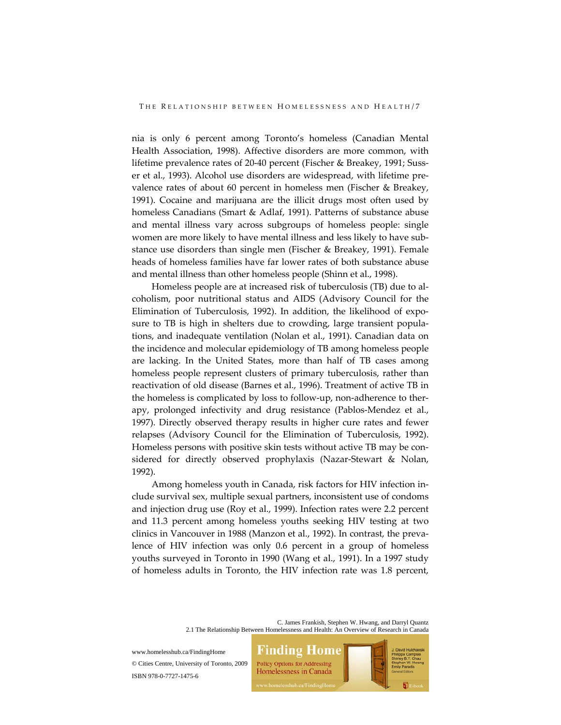nia is only 6 percent among Toronto's homeless (Canadian Mental Health Association, 1998). Affective disorders are more common, with lifetime prevalence rates of 20‐40 percent (Fischer & Breakey, 1991; Suss‐ er et al., 1993). Alcohol use disorders are widespread, with lifetime pre‐ valence rates of about 60 percent in homeless men (Fischer & Breakey, 1991). Cocaine and marijuana are the illicit drugs most often used by homeless Canadians (Smart & Adlaf, 1991). Patterns of substance abuse and mental illness vary across subgroups of homeless people: single women are more likely to have mental illness and less likely to have sub‐ stance use disorders than single men (Fischer & Breakey, 1991). Female heads of homeless families have far lower rates of both substance abuse and mental illness than other homeless people (Shinn et al., 1998).

Homeless people are at increased risk of tuberculosis (TB) due to al‐ coholism, poor nutritional status and AIDS (Advisory Council for the Elimination of Tuberculosis, 1992). In addition, the likelihood of exposure to TB is high in shelters due to crowding, large transient popula‐ tions, and inadequate ventilation (Nolan et al., 1991). Canadian data on the incidence and molecular epidemiology of TB among homeless people are lacking. In the United States, more than half of TB cases among homeless people represent clusters of primary tuberculosis, rather than reactivation of old disease (Barnes et al., 1996). Treatment of active TB in the homeless is complicated by loss to follow‐up, non‐adherence to ther‐ apy, prolonged infectivity and drug resistance (Pablos‐Mendez et al., 1997). Directly observed therapy results in higher cure rates and fewer relapses (Advisory Council for the Elimination of Tuberculosis, 1992). Homeless persons with positive skin tests without active TB may be con‐ sidered for directly observed prophylaxis (Nazar-Stewart & Nolan, 1992).

Among homeless youth in Canada, risk factors for HIV infection in‐ clude survival sex, multiple sexual partners, inconsistent use of condoms and injection drug use (Roy et al., 1999). Infection rates were 2.2 percent and 11.3 percent among homeless youths seeking HIV testing at two clinics in Vancouver in 1988 (Manzon et al., 1992). In contrast, the preva‐ lence of HIV infection was only 0.6 percent in a group of homeless youths surveyed in Toronto in 1990 (Wang et al., 1991). In a 1997 study of homeless adults in Toronto, the HIV infection rate was 1.8 percent,

> C. James Frankish, Stephen W. Hwang, and Darryl Quantz 2.1 The Relationship Between Homelessness and Health: An Overview of Research in Canada

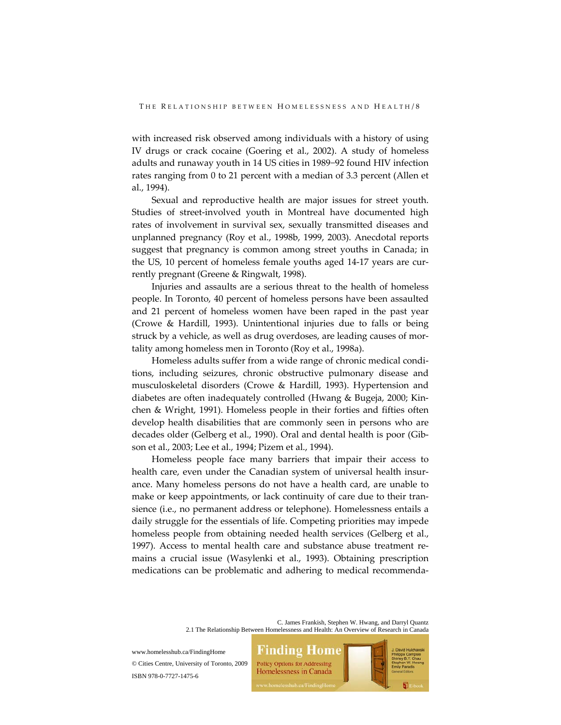with increased risk observed among individuals with a history of using IV drugs or crack cocaine (Goering et al., 2002). A study of homeless adults and runaway youth in 14 US cities in 1989−92 found HIV infection rates ranging from 0 to 21 percent with a median of 3.3 percent (Allen et al., 1994).

Sexual and reproductive health are major issues for street youth. Studies of street‐involved youth in Montreal have documented high rates of involvement in survival sex, sexually transmitted diseases and unplanned pregnancy (Roy et al., 1998b, 1999, 2003). Anecdotal reports suggest that pregnancy is common among street youths in Canada; in the US, 10 percent of homeless female youths aged 14‐17 years are cur‐ rently pregnant (Greene & Ringwalt, 1998).

Injuries and assaults are a serious threat to the health of homeless people. In Toronto, 40 percent of homeless persons have been assaulted and 21 percent of homeless women have been raped in the past year (Crowe & Hardill, 1993). Unintentional injuries due to falls or being struck by a vehicle, as well as drug overdoses, are leading causes of mortality among homeless men in Toronto (Roy et al., 1998a).

Homeless adults suffer from a wide range of chronic medical condi‐ tions, including seizures, chronic obstructive pulmonary disease and musculoskeletal disorders (Crowe & Hardill, 1993). Hypertension and diabetes are often inadequately controlled (Hwang & Bugeja, 2000; Kin‐ chen & Wright, 1991). Homeless people in their forties and fifties often develop health disabilities that are commonly seen in persons who are decades older (Gelberg et al., 1990). Oral and dental health is poor (Gib‐ son et al., 2003; Lee et al., 1994; Pizem et al., 1994).

Homeless people face many barriers that impair their access to health care, even under the Canadian system of universal health insurance. Many homeless persons do not have a health card, are unable to make or keep appointments, or lack continuity of care due to their transience (i.e., no permanent address or telephone). Homelessness entails a daily struggle for the essentials of life. Competing priorities may impede homeless people from obtaining needed health services (Gelberg et al., 1997). Access to mental health care and substance abuse treatment re‐ mains a crucial issue (Wasylenki et al., 1993). Obtaining prescription medications can be problematic and adhering to medical recommenda‐

> C. James Frankish, Stephen W. Hwang, and Darryl Quantz 2.1 The Relationship Between Homelessness and Health: An Overview of Research in Canada

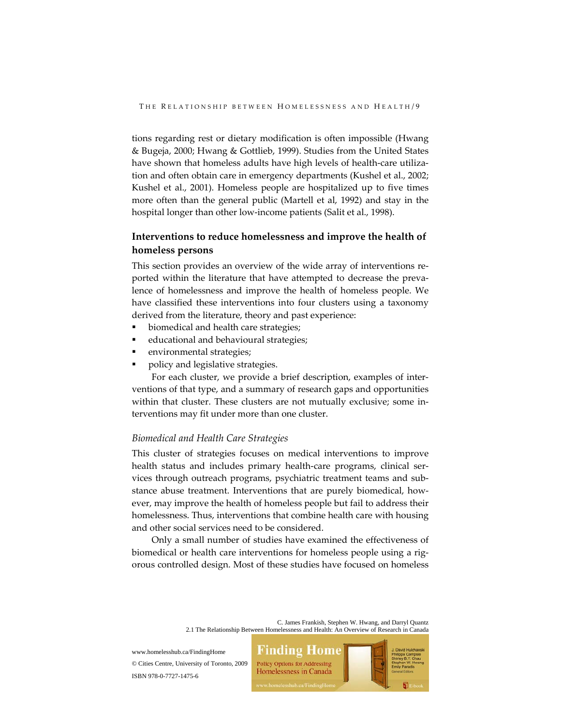tions regarding rest or dietary modification is often impossible (Hwang & Bugeja, 2000; Hwang & Gottlieb, 1999). Studies from the United States have shown that homeless adults have high levels of health-care utilization and often obtain care in emergency departments (Kushel et al., 2002; Kushel et al., 2001). Homeless people are hospitalized up to five times more often than the general public (Martell et al, 1992) and stay in the hospital longer than other low-income patients (Salit et al., 1998).

# **Interventions to reduce homelessness and improve the health of homeless persons**

This section provides an overview of the wide array of interventions re‐ ported within the literature that have attempted to decrease the prevalence of homelessness and improve the health of homeless people. We have classified these interventions into four clusters using a taxonomy derived from the literature, theory and past experience:

- biomedical and health care strategies;
- educational and behavioural strategies;
- environmental strategies;
- policy and legislative strategies.

For each cluster, we provide a brief description, examples of interventions of that type, and a summary of research gaps and opportunities within that cluster. These clusters are not mutually exclusive; some interventions may fit under more than one cluster.

## *Biomedical and Health Care Strategies*

This cluster of strategies focuses on medical interventions to improve health status and includes primary health-care programs, clinical services through outreach programs, psychiatric treatment teams and sub‐ stance abuse treatment. Interventions that are purely biomedical, how‐ ever, may improve the health of homeless people but fail to address their homelessness. Thus, interventions that combine health care with housing and other social services need to be considered.

Only a small number of studies have examined the effectiveness of biomedical or health care interventions for homeless people using a rigorous controlled design. Most of these studies have focused on homeless

> C. James Frankish, Stephen W. Hwang, and Darryl Quantz 2.1 The Relationship Between Homelessness and Health: An Overview of Research in Canada

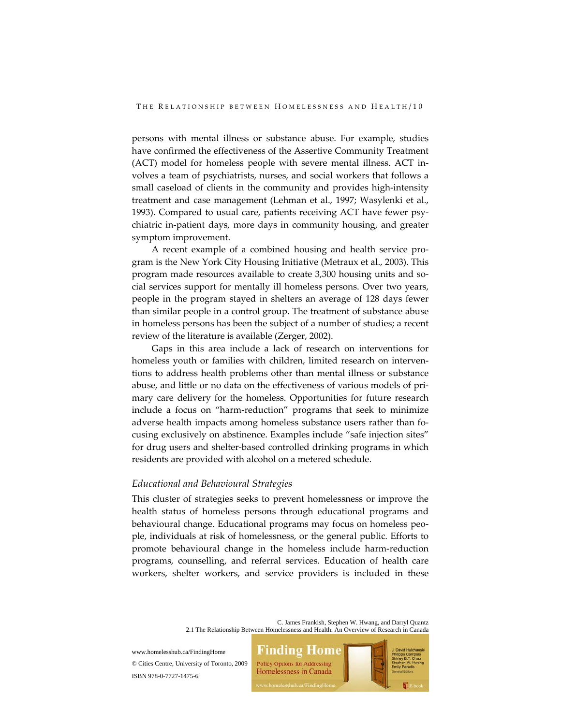persons with mental illness or substance abuse. For example, studies have confirmed the effectiveness of the Assertive Community Treatment (ACT) model for homeless people with severe mental illness. ACT in‐ volves a team of psychiatrists, nurses, and social workers that follows a small caseload of clients in the community and provides high-intensity treatment and case management (Lehman et al., 1997; Wasylenki et al., 1993). Compared to usual care, patients receiving ACT have fewer psy‐ chiatric in‐patient days, more days in community housing, and greater symptom improvement.

A recent example of a combined housing and health service pro‐ gram is the New York City Housing Initiative (Metraux et al., 2003). This program made resources available to create 3,300 housing units and so‐ cial services support for mentally ill homeless persons. Over two years, people in the program stayed in shelters an average of 128 days fewer than similar people in a control group. The treatment of substance abuse in homeless persons has been the subject of a number of studies; a recent review of the literature is available (Zerger, 2002).

Gaps in this area include a lack of research on interventions for homeless youth or families with children, limited research on interventions to address health problems other than mental illness or substance abuse, and little or no data on the effectiveness of various models of pri‐ mary care delivery for the homeless. Opportunities for future research include a focus on "harm‐reduction" programs that seek to minimize adverse health impacts among homeless substance users rather than fo‐ cusing exclusively on abstinence. Examples include "safe injection sites" for drug users and shelter‐based controlled drinking programs in which residents are provided with alcohol on a metered schedule.

#### *Educational and Behavioural Strategies*

This cluster of strategies seeks to prevent homelessness or improve the health status of homeless persons through educational programs and behavioural change. Educational programs may focus on homeless peo‐ ple, individuals at risk of homelessness, or the general public. Efforts to promote behavioural change in the homeless include harm‐reduction programs, counselling, and referral services. Education of health care workers, shelter workers, and service providers is included in these

> C. James Frankish, Stephen W. Hwang, and Darryl Quantz 2.1 The Relationship Between Homelessness and Health: An Overview of Research in Canada

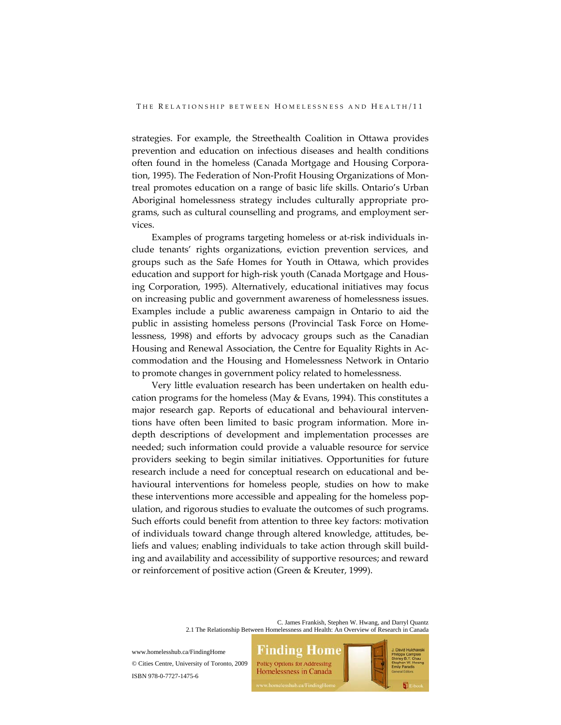strategies. For example, the Streethealth Coalition in Ottawa provides prevention and education on infectious diseases and health conditions often found in the homeless (Canada Mortgage and Housing Corpora‐ tion, 1995). The Federation of Non‐Profit Housing Organizations of Mon‐ treal promotes education on a range of basic life skills. Ontario's Urban Aboriginal homelessness strategy includes culturally appropriate pro‐ grams, such as cultural counselling and programs, and employment services.

Examples of programs targeting homeless or at‐risk individuals in‐ clude tenants' rights organizations, eviction prevention services, and groups such as the Safe Homes for Youth in Ottawa, which provides education and support for high‐risk youth (Canada Mortgage and Hous‐ ing Corporation, 1995). Alternatively, educational initiatives may focus on increasing public and government awareness of homelessness issues. Examples include a public awareness campaign in Ontario to aid the public in assisting homeless persons (Provincial Task Force on Home‐ lessness, 1998) and efforts by advocacy groups such as the Canadian Housing and Renewal Association, the Centre for Equality Rights in Ac‐ commodation and the Housing and Homelessness Network in Ontario to promote changes in government policy related to homelessness.

Very little evaluation research has been undertaken on health edu‐ cation programs for the homeless (May & Evans, 1994). This constitutes a major research gap. Reports of educational and behavioural interven‐ tions have often been limited to basic program information. More in‐ depth descriptions of development and implementation processes are needed; such information could provide a valuable resource for service providers seeking to begin similar initiatives. Opportunities for future research include a need for conceptual research on educational and be‐ havioural interventions for homeless people, studies on how to make these interventions more accessible and appealing for the homeless pop‐ ulation, and rigorous studies to evaluate the outcomes of such programs. Such efforts could benefit from attention to three key factors: motivation of individuals toward change through altered knowledge, attitudes, be‐ liefs and values; enabling individuals to take action through skill build‐ ing and availability and accessibility of supportive resources; and reward or reinforcement of positive action (Green & Kreuter, 1999).

> C. James Frankish, Stephen W. Hwang, and Darryl Quantz 2.1 The Relationship Between Homelessness and Health: An Overview of Research in Canada

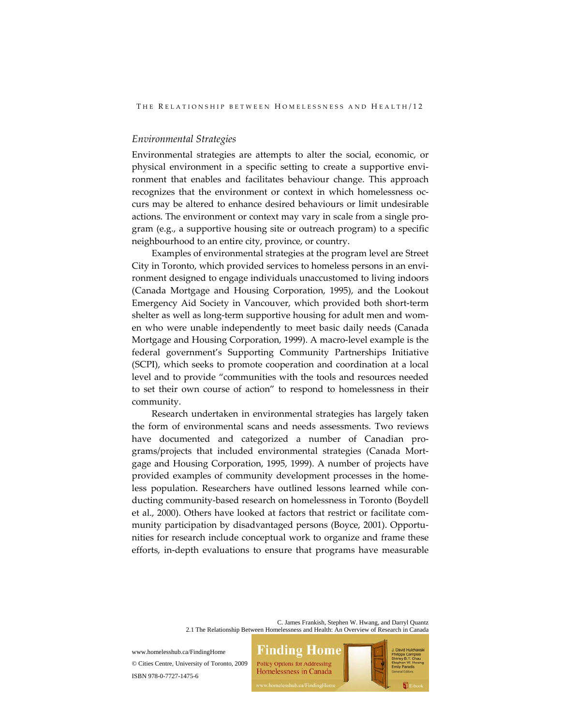### *Environmental Strategies*

Environmental strategies are attempts to alter the social, economic, or physical environment in a specific setting to create a supportive envi‐ ronment that enables and facilitates behaviour change. This approach recognizes that the environment or context in which homelessness oc‐ curs may be altered to enhance desired behaviours or limit undesirable actions. The environment or context may vary in scale from a single pro‐ gram (e.g., a supportive housing site or outreach program) to a specific neighbourhood to an entire city, province, or country.

Examples of environmental strategies at the program level are Street City in Toronto, which provided services to homeless persons in an envi‐ ronment designed to engage individuals unaccustomed to living indoors (Canada Mortgage and Housing Corporation, 1995), and the Lookout Emergency Aid Society in Vancouver, which provided both short‐term shelter as well as long-term supportive housing for adult men and women who were unable independently to meet basic daily needs (Canada Mortgage and Housing Corporation, 1999). A macro‐level example is the federal government's Supporting Community Partnerships Initiative (SCPI), which seeks to promote cooperation and coordination at a local level and to provide "communities with the tools and resources needed to set their own course of action" to respond to homelessness in their community.

Research undertaken in environmental strategies has largely taken the form of environmental scans and needs assessments. Two reviews have documented and categorized a number of Canadian programs/projects that included environmental strategies (Canada Mort‐ gage and Housing Corporation, 1995, 1999). A number of projects have provided examples of community development processes in the home‐ less population. Researchers have outlined lessons learned while conducting community‐based research on homelessness in Toronto (Boydell et al., 2000). Others have looked at factors that restrict or facilitate com‐ munity participation by disadvantaged persons (Boyce, 2001). Opportunities for research include conceptual work to organize and frame these efforts, in‐depth evaluations to ensure that programs have measurable

> C. James Frankish, Stephen W. Hwang, and Darryl Quantz 2.1 The Relationship Between Homelessness and Health: An Overview of Research in Canada

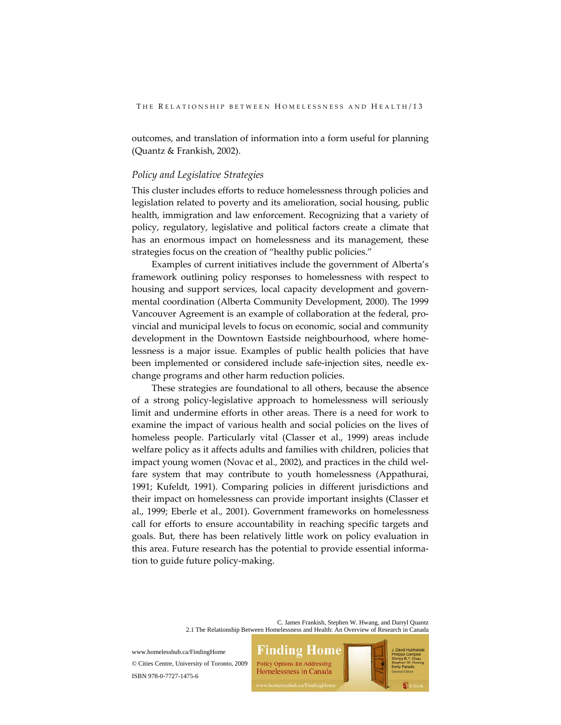outcomes, and translation of information into a form useful for planning (Quantz & Frankish, 2002).

# *Policy and Legislative Strategies*

This cluster includes efforts to reduce homelessness through policies and legislation related to poverty and its amelioration, social housing, public health, immigration and law enforcement. Recognizing that a variety of policy, regulatory, legislative and political factors create a climate that has an enormous impact on homelessness and its management, these strategies focus on the creation of "healthy public policies."

Examples of current initiatives include the government of Alberta's framework outlining policy responses to homelessness with respect to housing and support services, local capacity development and govern‐ mental coordination (Alberta Community Development, 2000). The 1999 Vancouver Agreement is an example of collaboration at the federal, pro‐ vincial and municipal levels to focus on economic, social and community development in the Downtown Eastside neighbourhood, where home‐ lessness is a major issue. Examples of public health policies that have been implemented or considered include safe‐injection sites, needle ex‐ change programs and other harm reduction policies.

These strategies are foundational to all others, because the absence of a strong policy‐legislative approach to homelessness will seriously limit and undermine efforts in other areas. There is a need for work to examine the impact of various health and social policies on the lives of homeless people. Particularly vital (Classer et al., 1999) areas include welfare policy as it affects adults and families with children, policies that impact young women (Novac et al., 2002), and practices in the child welfare system that may contribute to youth homelessness (Appathurai, 1991; Kufeldt, 1991). Comparing policies in different jurisdictions and their impact on homelessness can provide important insights (Classer et al., 1999; Eberle et al., 2001). Government frameworks on homelessness call for efforts to ensure accountability in reaching specific targets and goals. But, there has been relatively little work on policy evaluation in this area. Future research has the potential to provide essential informa‐ tion to guide future policy‐making.

> C. James Frankish, Stephen W. Hwang, and Darryl Quantz 2.1 The Relationship Between Homelessness and Health: An Overview of Research in Canada

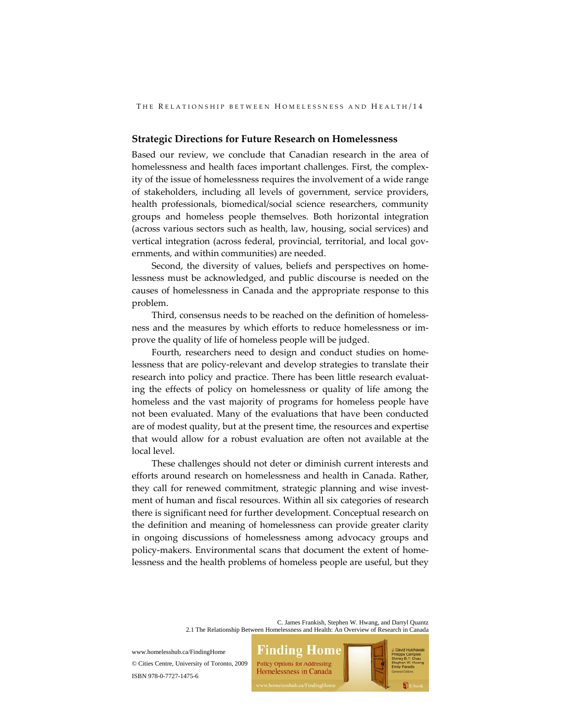#### **Strategic Directions for Future Research on Homelessness**

Based our review, we conclude that Canadian research in the area of homelessness and health faces important challenges. First, the complexity of the issue of homelessness requires the involvement of a wide range of stakeholders, including all levels of government, service providers, health professionals, biomedical/social science researchers, community groups and homeless people themselves. Both horizontal integration (across various sectors such as health, law, housing, social services) and vertical integration (across federal, provincial, territorial, and local governments, and within communities) are needed.

Second, the diversity of values, beliefs and perspectives on home‐ lessness must be acknowledged, and public discourse is needed on the causes of homelessness in Canada and the appropriate response to this problem.

Third, consensus needs to be reached on the definition of homelessness and the measures by which efforts to reduce homelessness or im‐ prove the quality of life of homeless people will be judged.

Fourth, researchers need to design and conduct studies on home‐ lessness that are policy‐relevant and develop strategies to translate their research into policy and practice. There has been little research evaluat‐ ing the effects of policy on homelessness or quality of life among the homeless and the vast majority of programs for homeless people have not been evaluated. Many of the evaluations that have been conducted are of modest quality, but at the present time, the resources and expertise that would allow for a robust evaluation are often not available at the local level.

These challenges should not deter or diminish current interests and efforts around research on homelessness and health in Canada. Rather, they call for renewed commitment, strategic planning and wise investment of human and fiscal resources. Within all six categories of research there is significant need for further development. Conceptual research on the definition and meaning of homelessness can provide greater clarity in ongoing discussions of homelessness among advocacy groups and policy‐makers. Environmental scans that document the extent of home‐ lessness and the health problems of homeless people are useful, but they

> C. James Frankish, Stephen W. Hwang, and Darryl Quantz 2.1 The Relationship Between Homelessness and Health: An Overview of Research in Canada

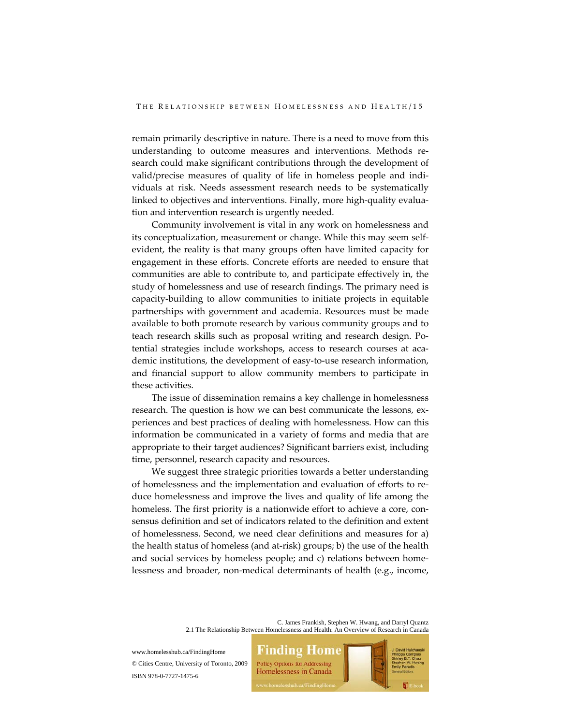remain primarily descriptive in nature. There is a need to move from this understanding to outcome measures and interventions. Methods re‐ search could make significant contributions through the development of valid/precise measures of quality of life in homeless people and indi‐ viduals at risk. Needs assessment research needs to be systematically linked to objectives and interventions. Finally, more high-quality evaluation and intervention research is urgently needed.

Community involvement is vital in any work on homelessness and its conceptualization, measurement or change. While this may seem selfevident, the reality is that many groups often have limited capacity for engagement in these efforts. Concrete efforts are needed to ensure that communities are able to contribute to, and participate effectively in, the study of homelessness and use of research findings. The primary need is capacity‐building to allow communities to initiate projects in equitable partnerships with government and academia. Resources must be made available to both promote research by various community groups and to teach research skills such as proposal writing and research design. Potential strategies include workshops, access to research courses at aca‐ demic institutions, the development of easy‐to‐use research information, and financial support to allow community members to participate in these activities.

The issue of dissemination remains a key challenge in homelessness research. The question is how we can best communicate the lessons, experiences and best practices of dealing with homelessness. How can this information be communicated in a variety of forms and media that are appropriate to their target audiences? Significant barriers exist, including time, personnel, research capacity and resources.

We suggest three strategic priorities towards a better understanding of homelessness and the implementation and evaluation of efforts to re‐ duce homelessness and improve the lives and quality of life among the homeless. The first priority is a nationwide effort to achieve a core, con‐ sensus definition and set of indicators related to the definition and extent of homelessness. Second, we need clear definitions and measures for a) the health status of homeless (and at‐risk) groups; b) the use of the health and social services by homeless people; and c) relations between homelessness and broader, non‐medical determinants of health (e.g., income,

> C. James Frankish, Stephen W. Hwang, and Darryl Quantz 2.1 The Relationship Between Homelessness and Health: An Overview of Research in Canada

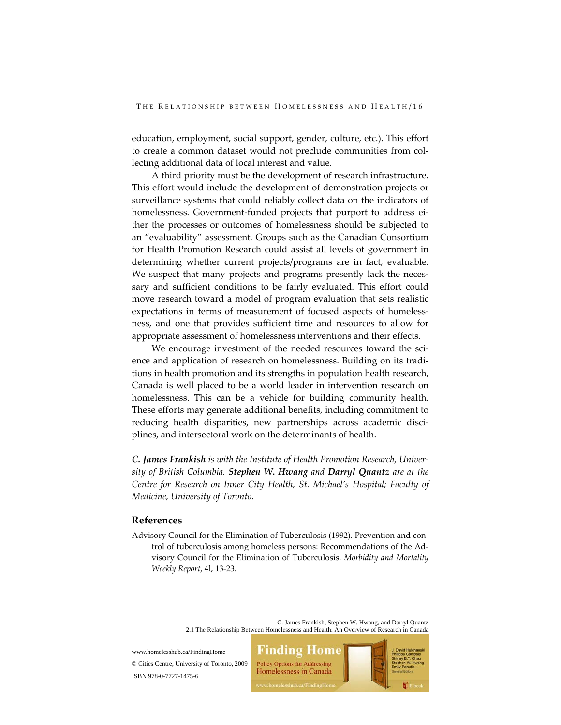education, employment, social support, gender, culture, etc.). This effort to create a common dataset would not preclude communities from collecting additional data of local interest and value.

A third priority must be the development of research infrastructure. This effort would include the development of demonstration projects or surveillance systems that could reliably collect data on the indicators of homelessness. Government-funded projects that purport to address either the processes or outcomes of homelessness should be subjected to an "evaluability" assessment. Groups such as the Canadian Consortium for Health Promotion Research could assist all levels of government in determining whether current projects/programs are in fact, evaluable. We suspect that many projects and programs presently lack the necessary and sufficient conditions to be fairly evaluated. This effort could move research toward a model of program evaluation that sets realistic expectations in terms of measurement of focused aspects of homelessness, and one that provides sufficient time and resources to allow for appropriate assessment of homelessness interventions and their effects.

We encourage investment of the needed resources toward the science and application of research on homelessness. Building on its tradi‐ tions in health promotion and its strengths in population health research, Canada is well placed to be a world leader in intervention research on homelessness. This can be a vehicle for building community health. These efforts may generate additional benefits, including commitment to reducing health disparities, new partnerships across academic disciplines, and intersectoral work on the determinants of health.

*C. James Frankish is with the Institute of Health Promotion Research, Univer‐ sity of British Columbia. Stephen W. Hwang and Darryl Quantz are at the Centre for Research on Inner City Health, St. Michael's Hospital; Faculty of Medicine, University of Toronto.*

# **References**

Advisory Council for the Elimination of Tuberculosis (1992). Prevention and con‐ trol of tuberculosis among homeless persons: Recommendations of the Ad‐ visory Council for the Elimination of Tuberculosis. *Morbidity and Mortality Weekly Report*, 4l, 13‐23.

> C. James Frankish, Stephen W. Hwang, and Darryl Quantz 2.1 The Relationship Between Homelessness and Health: An Overview of Research in Canada

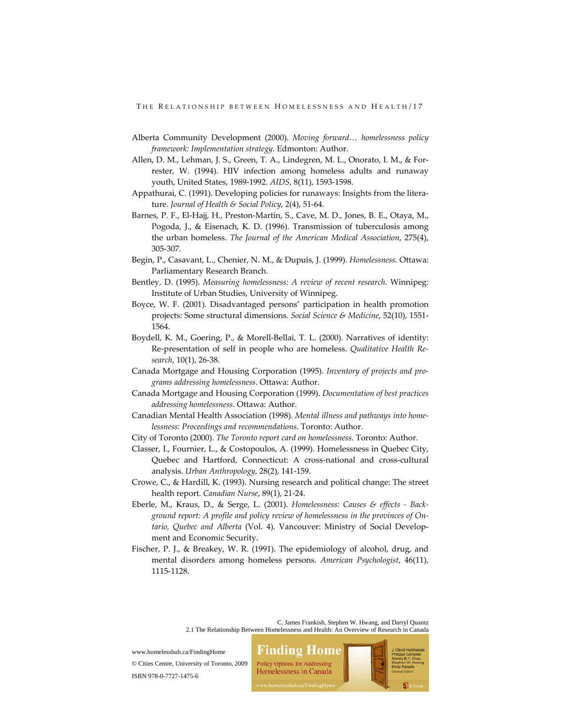- Alberta Community Development (2000). *Moving forward… homelessness policy framework: Implementation strategy*. Edmonton: Author.
- Allen, D. M., Lehman, J. S., Green, T. A., Lindegren, M. L., Onorato, I. M., & For‐ rester, W. (1994). HIV infection among homeless adults and runaway youth, United States, 1989‐1992. *AIDS*, 8(11), 1593‐1598.
- Appathurai, C. (1991). Developing policies for runaways: Insights from the litera‐ ture. *Journal of Health & Social Policy*, 2(4), 51‐64.
- Barnes, P. F., El‐Hajj, H., Preston‐Martin, S., Cave, M. D., Jones, B. E., Otaya, M., Pogoda, J., & Eisenach, K. D. (1996). Transmission of tuberculosis among the urban homeless. *The Journal of the American Medical Association*, 275(4), 305‐307.
- Begin, P., Casavant, L., Chenier, N. M., & Dupuis, J. (1999). *Homelessness*. Ottawa: Parliamentary Research Branch.
- Bentley, D. (1995). *Measuring homelessness: A review of recent research*. Winnipeg: Institute of Urban Studies, University of Winnipeg.
- Boyce, W. F. (2001). Disadvantaged persons' participation in health promotion projects: Some structural dimensions. *Social Science & Medicine*, 52(10), 1551‐ 1564.
- Boydell, K. M., Goering, P., & Morell‐Bellai, T. L. (2000). Narratives of identity: Re‐presentation of self in people who are homeless. *Qualitative Health Re‐ search*, 10(1), 26‐38.
- Canada Mortgage and Housing Corporation (1995). *Inventory of projects and pro‐ grams addressing homelessness*. Ottawa: Author.
- Canada Mortgage and Housing Corporation (1999). *Documentation of best practices addressing homelessness*. Ottawa: Author.
- Canadian Mental Health Association (1998). *Mental illness and pathways into home‐ lessness: Proceedings and recommendations*. Toronto: Author.
- City of Toronto (2000). *The Toronto report card on homelessness*. Toronto: Author.
- Classer, I., Fournier, L., & Costopoulos, A. (1999). Homelessness in Quebec City, Quebec and Hartford, Connecticut: A cross-national and cross-cultural analysis. *Urban Anthropology*, 28(2), 141‐159.
- Crowe, C., & Hardill, K. (1993). Nursing research and political change: The street health report. *Canadian Nurse*, 89(1), 21‐24.
- Eberle, M., Kraus, D., & Serge, L. (2001). *Homelessness: Causes & effects ‐ Back‐ ground report: A profile and policy review of homelessness in the provinces of On‐ tario, Quebec and Alberta* (Vol. 4). Vancouver: Ministry of Social Develop‐ ment and Economic Security.
- Fischer, P. J., & Breakey, W. R. (1991). The epidemiology of alcohol, drug, and mental disorders among homeless persons. *American Psychologist*, 46(11), 1115‐1128.

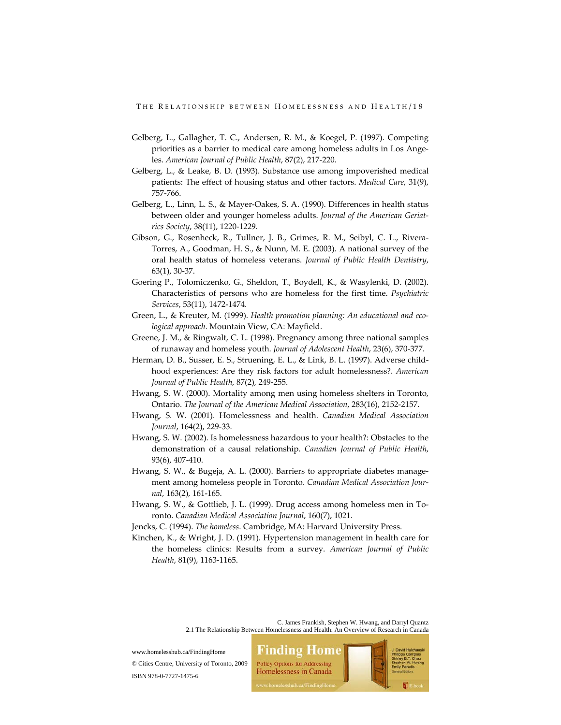- Gelberg, L., Gallagher, T. C., Andersen, R. M., & Koegel, P. (1997). Competing priorities as a barrier to medical care among homeless adults in Los Angeles. *American Journal of Public Health*, 87(2), 217‐220.
- Gelberg, L., & Leake, B. D. (1993). Substance use among impoverished medical patients: The effect of housing status and other factors. *Medical Care*, 31(9), 757‐766.
- Gelberg, L., Linn, L. S., & Mayer‐Oakes, S. A. (1990). Differences in health status between older and younger homeless adults. *Journal of the American Geriat‐ rics Society*, 38(11), 1220‐1229.
- Gibson, G., Rosenheck, R., Tullner, J. B., Grimes, R. M., Seibyl, C. L., Rivera‐ Torres, A., Goodman, H. S., & Nunn, M. E. (2003). A national survey of the oral health status of homeless veterans. *Journal of Public Health Dentistry*, 63(1), 30‐37.
- Goering P., Tolomiczenko, G., Sheldon, T., Boydell, K., & Wasylenki, D. (2002). Characteristics of persons who are homeless for the first time. *Psychiatric Services*, 53(11), 1472‐1474.
- Green, L., & Kreuter, M. (1999). *Health promotion planning: An educational and eco‐ logical approach*. Mountain View, CA: Mayfield.
- Greene, J. M., & Ringwalt, C. L. (1998). Pregnancy among three national samples of runaway and homeless youth. *Journal of Adolescent Health*, 23(6), 370‐377.
- Herman, D. B., Susser, E. S., Struening, E. L., & Link, B. L. (1997). Adverse child‐ hood experiences: Are they risk factors for adult homelessness?. *American Journal of Public Health*, 87(2), 249‐255.
- Hwang, S. W. (2000). Mortality among men using homeless shelters in Toronto, Ontario. *The Journal of the American Medical Association*, 283(16), 2152‐2157.
- Hwang, S. W. (2001). Homelessness and health. *Canadian Medical Association Journal*, 164(2), 229‐33.
- Hwang, S. W. (2002). Is homelessness hazardous to your health?: Obstacles to the demonstration of a causal relationship. *Canadian Journal of Public Health*, 93(6), 407‐410.
- Hwang, S. W., & Bugeja, A. L. (2000). Barriers to appropriate diabetes management among homeless people in Toronto. *Canadian Medical Association Jour‐ nal*, 163(2), 161‐165.
- Hwang, S. W., & Gottlieb, J. L. (1999). Drug access among homeless men in To‐ ronto. *Canadian Medical Association Journal*, 160(7), 1021.
- Jencks, C. (1994). *The homeless*. Cambridge, MA: Harvard University Press.
- Kinchen, K., & Wright, J. D. (1991). Hypertension management in health care for the homeless clinics: Results from a survey. *American Journal of Public Health*, 81(9), 1163‐1165.

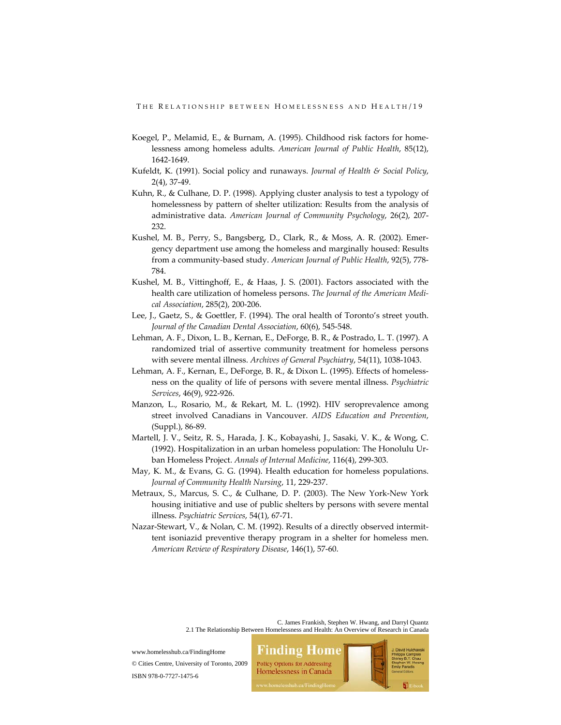- Koegel, P., Melamid, E., & Burnam, A. (1995). Childhood risk factors for home‐ lessness among homeless adults. *American Journal of Public Health*, 85(12), 1642‐1649.
- Kufeldt, K. (1991). Social policy and runaways. *Journal of Health & Social Policy*, 2(4), 37‐49.
- Kuhn, R., & Culhane, D. P. (1998). Applying cluster analysis to test a typology of homelessness by pattern of shelter utilization: Results from the analysis of administrative data. *American Journal of Community Psychology*, 26(2), 207‐ 232.
- Kushel, M. B., Perry, S., Bangsberg, D., Clark, R., & Moss, A. R. (2002). Emer‐ gency department use among the homeless and marginally housed: Results from a community‐based study. *American Journal of Public Health*, 92(5), 778‐ 784.
- Kushel, M. B., Vittinghoff, E., & Haas, J. S. (2001). Factors associated with the health care utilization of homeless persons. *The Journal of the American Medi‐ cal Association*, 285(2), 200‐206.
- Lee, J., Gaetz, S., & Goettler, F. (1994). The oral health of Toronto's street youth. *Journal of the Canadian Dental Association*, 60(6), 545‐548.
- Lehman, A. F., Dixon, L. B., Kernan, E., DeForge, B. R., & Postrado, L. T. (1997). A randomized trial of assertive community treatment for homeless persons with severe mental illness. *Archives of General Psychiatry*, 54(11), 1038‐1043.
- Lehman, A. F., Kernan, E., DeForge, B. R., & Dixon L. (1995). Effects of homelessness on the quality of life of persons with severe mental illness. *Psychiatric Services*, 46(9), 922‐926.
- Manzon, L., Rosario, M., & Rekart, M. L. (1992). HIV seroprevalence among street involved Canadians in Vancouver. *AIDS Education and Prevention*, (Suppl.), 86‐89.
- Martell, J. V., Seitz, R. S., Harada, J. K., Kobayashi, J., Sasaki, V. K., & Wong, C. (1992). Hospitalization in an urban homeless population: The Honolulu Ur‐ ban Homeless Project. *Annals of Internal Medicine*, 116(4), 299‐303.
- May, K. M., & Evans, G. G. (1994). Health education for homeless populations. *Journal of Community Health Nursing*, 11, 229‐237.
- Metraux, S., Marcus, S. C., & Culhane, D. P. (2003). The New York‐New York housing initiative and use of public shelters by persons with severe mental illness. *Psychiatric Services*, 54(1), 67‐71.
- Nazar-Stewart, V., & Nolan, C. M. (1992). Results of a directly observed intermittent isoniazid preventive therapy program in a shelter for homeless men. *American Review of Respiratory Disease*, 146(1), 57‐60.

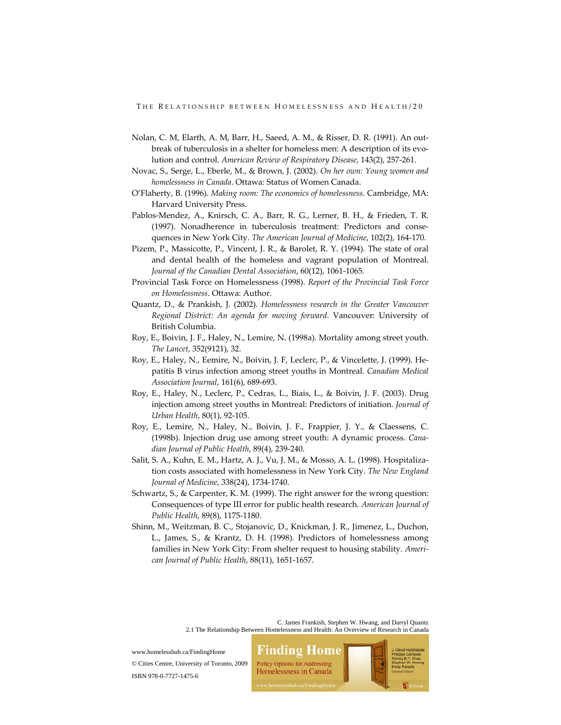- Nolan, C. M, Elarth, A. M, Barr, H., Saeed, A. M., & Risser, D. R. (1991). An out‐ break of tuberculosis in a shelter for homeless men: A description of its evolution and control. *American Review of Respiratory Disease*, 143(2), 257‐261.
- Novac, S., Serge, L., Eberle, M., & Brown, J. (2002). *On her own: Young women and homelessness in Canada*. Ottawa: Status of Women Canada.
- O'Flaherty, B. (1996). *Making room: The economics of homelessness*. Cambridge, MA: Harvard University Press.
- Pablos‐Mendez, A., Knirsch, C. A., Barr, R. G., Lerner, B. H., & Frieden, T. R. (1997). Nonadherence in tuberculosis treatment: Predictors and conse‐ quences in New York City. *The American Journal of Medicine*, 102(2), 164‐170.
- Pizem, P., Massicotte, P., Vincent, J. R., & Barolet, R. Y. (1994). The state of oral and dental health of the homeless and vagrant population of Montreal. *Journal of the Canadian Dental Association*, 60(12), 1061‐1065.
- Provincial Task Force on Homelessness (1998). *Report of the Provincial Task Force on Homelessness*. Ottawa: Author.
- Quantz, D., & Prankish, J. (2002). *Homelessness research in the Greater Vancouver Regional District: An agenda for moving forward*. Vancouver: University of British Columbia.
- Roy, E., Boivin, J. F., Haley, N., Lemire, N. (1998a). Mortality among street youth. *The Lancet*, 352(9121), 32.
- Roy, E., Haley, N., Eemire, N., Boivin, J. F, Leclerc, P., & Vincelette, J. (1999). He‐ patitis B virus infection among street youths in Montreal. *Canadian Medical Association Journal*, 161(6), 689‐693.
- Roy, E., Haley, N., Leclerc, P., Cedras, L., Biais, L., & Boivin, J. F. (2003). Drug injection among street youths in Montreal: Predictors of initiation. *Journal of Urban Health*, 80(1), 92‐105.
- Roy, E., Lemire, N., Haley, N., Boivin, J. F., Frappier, J. Y., & Claessens, C. (1998b). Injection drug use among street youth: A dynamic process. *Cana‐ dian Journal of Public Health*, 89(4), 239‐240.
- Salit, S. A., Kuhn, E. M., Hartz, A. J., Vu, J. M., & Mosso, A. L. (1998). Hospitaliza‐ tion costs associated with homelessness in New York City. *The New England Journal of Medicine*, 338(24), 1734‐1740.
- Schwartz, S., & Carpenter, K. M. (1999). The right answer for the wrong question: Consequences of type III error for public health research. *American Journal of Public Health*, 89(8), 1175‐1180.
- Shinn, M., Weitzman, B. C., Stojanovic, D., Knickman, J. R., Jimenez, L., Duchon, L., James, S., & Krantz, D. H. (1998). Predictors of homelessness among families in New York City: From shelter request to housing stability. *Ameri‐ can Journal of Public Health*, 88(11), 1651‐1657.